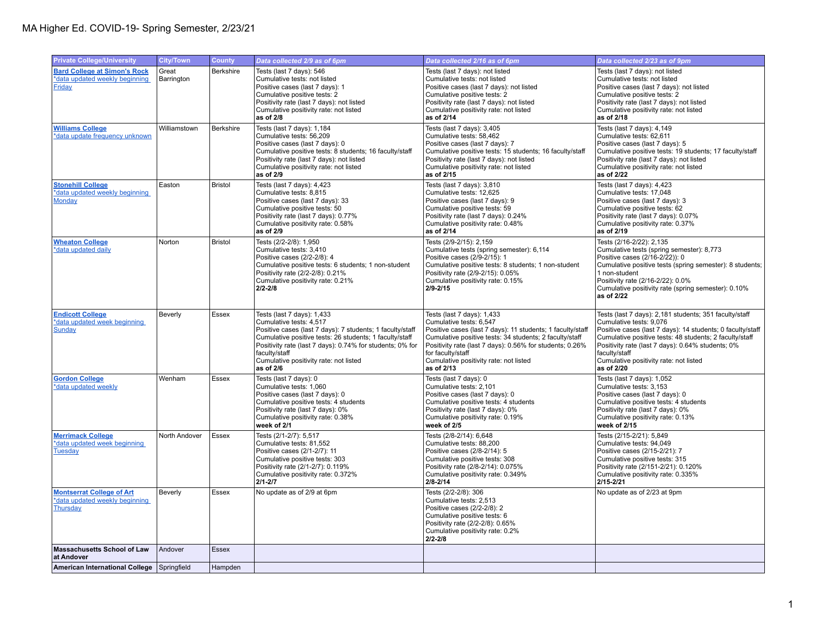| <b>Private College/University</b>                                                      | <b>City/Town</b>    | <b>County</b>    | Data collected 2/9 as of 6pm                                                                                                                                                                                                                                                                                       | Data collected 2/16 as of 6pm                                                                                                                                                                                                                                                                                           | Data collected 2/23 as of 9pm                                                                                                                                                                                                                                                                                                            |
|----------------------------------------------------------------------------------------|---------------------|------------------|--------------------------------------------------------------------------------------------------------------------------------------------------------------------------------------------------------------------------------------------------------------------------------------------------------------------|-------------------------------------------------------------------------------------------------------------------------------------------------------------------------------------------------------------------------------------------------------------------------------------------------------------------------|------------------------------------------------------------------------------------------------------------------------------------------------------------------------------------------------------------------------------------------------------------------------------------------------------------------------------------------|
| <b>Bard College at Simon's Rock</b><br>*data updated weekly beginning<br><b>Friday</b> | Great<br>Barrington | <b>Berkshire</b> | Tests (last 7 days): 546<br>Cumulative tests: not listed<br>Positive cases (last 7 days): 1<br>Cumulative positive tests: 2<br>Positivity rate (last 7 days): not listed<br>Cumulative positivity rate: not listed<br>as of 2/8                                                                                    | Tests (last 7 days): not listed<br>Cumulative tests: not listed<br>Positive cases (last 7 days): not listed<br>Cumulative positive tests: 2<br>Positivity rate (last 7 days): not listed<br>Cumulative positivity rate: not listed<br>as of 2/14                                                                        | Tests (last 7 days): not listed<br>Cumulative tests: not listed<br>Positive cases (last 7 days): not listed<br>Cumulative positive tests: 2<br>Positivity rate (last 7 days): not listed<br>Cumulative positivity rate: not listed<br>as of 2/18                                                                                         |
| <b>Williams College</b><br>*data update frequency unknown                              | Williamstown        | Berkshire        | Tests (last 7 days): 1,184<br>Cumulative tests: 56,209<br>Positive cases (last 7 days): 0<br>Cumulative positive tests: 8 students; 16 faculty/staff<br>Positivity rate (last 7 days): not listed<br>Cumulative positivity rate: not listed<br>as of 2/9                                                           | Tests (last 7 days): 3,405<br>Cumulative tests: 58,462<br>Positive cases (last 7 days): 7<br>Cumulative positive tests: 15 students; 16 faculty/staff<br>Positivity rate (last 7 days): not listed<br>Cumulative positivity rate: not listed<br>as of 2/15                                                              | Tests (last 7 days): 4,149<br>Cumulative tests: 62,611<br>Positive cases (last 7 days): 5<br>Cumulative positive tests: 19 students; 17 faculty/staff<br>Positivity rate (last 7 days): not listed<br>Cumulative positivity rate: not listed<br>as of 2/22                                                                               |
| <b>Stonehill College</b><br>*data updated weekly beginning<br>Monday                   | Easton              | <b>Bristol</b>   | Tests (last 7 days): 4,423<br>Cumulative tests: 8,815<br>Positive cases (last 7 days): 33<br>Cumulative positive tests: 50<br>Positivity rate (last 7 days): 0.77%<br>Cumulative positivity rate: 0.58%<br>as of 2/9                                                                                               | Tests (last 7 days): 3,810<br>Cumulative tests: 12,625<br>Positive cases (last 7 days): 9<br>Cumulative positive tests: 59<br>Positivity rate (last 7 days): 0.24%<br>Cumulative positivity rate: 0.48%<br>as of 2/14                                                                                                   | Tests (last 7 days): 4,423<br>Cumulative tests: 17,048<br>Positive cases (last 7 days): 3<br>Cumulative positive tests: 62<br>Positivity rate (last 7 days): 0.07%<br>Cumulative positivity rate: 0.37%<br>as of 2/19                                                                                                                    |
| <b>Wheaton College</b><br>*data updated daily                                          | Norton              | <b>Bristol</b>   | Tests (2/2-2/8): 1,950<br>Cumulative tests: 3,410<br>Positive cases (2/2-2/8): 4<br>Cumulative positive tests: 6 students; 1 non-student<br>Positivity rate (2/2-2/8): 0.21%<br>Cumulative positivity rate: 0.21%<br>$2/2 - 2/8$                                                                                   | Tests (2/9-2/15): 2,159<br>Cumulative tests (spring semester): 6,114<br>Positive cases (2/9-2/15): 1<br>Cumulative positive tests: 8 students; 1 non-student<br>Positivity rate (2/9-2/15): 0.05%<br>Cumulative positivity rate: 0.15%<br>$2/9 - 2/15$                                                                  | Tests (2/16-2/22): 2,135<br>Cumulative tests (spring semester): 8,773<br>Positive cases (2/16-2/22)): 0<br>Cumulative positive tests (spring semester): 8 students;<br>1 non-student<br>Positivity rate (2/16-2/22): 0.0%<br>Cumulative positivity rate (spring semester): 0.10%<br>as of 2/22                                           |
| <b>Endicott College</b><br>*data updated week beginning<br>Sunday                      | <b>Beverly</b>      | Essex            | Tests (last 7 days): 1,433<br>Cumulative tests: 4,517<br>Positive cases (last 7 days): 7 students; 1 faculty/staff<br>Cumulative positive tests: 26 students; 1 faculty/staff<br>Positivity rate (last 7 days): 0.74% for students; 0% for<br>faculty/staff<br>Cumulative positivity rate: not listed<br>as of 2/6 | Tests (last 7 days): 1,433<br>Cumulative tests: 6,547<br>Positive cases (last 7 days): 11 students; 1 faculty/staff<br>Cumulative positive tests: 34 students; 2 faculty/staff<br>Positivity rate (last 7 days): 0.56% for students; 0.26%<br>for faculty/staff<br>Cumulative positivity rate: not listed<br>as of 2/13 | Tests (last 7 days): 2,181 students; 351 faculty/staff<br>Cumulative tests: 9,076<br>Positive cases (last 7 days): 14 students; 0 faculty/staff<br>Cumulative positive tests: 48 students; 2 faculty/staff<br>Positivity rate (last 7 days): 0.64% students; 0%<br>faculty/staff<br>Cumulative positivity rate: not listed<br>as of 2/20 |
| <b>Gordon College</b><br>*data updated weekly                                          | Wenham              | Essex            | Tests (last 7 days): 0<br>Cumulative tests: 1,060<br>Positive cases (last 7 days): 0<br>Cumulative positive tests: 4 students<br>Positivity rate (last 7 days): 0%<br>Cumulative positivity rate: 0.38%<br>week of 2/1                                                                                             | Tests (last 7 days): 0<br>Cumulative tests: 2,101<br>Positive cases (last 7 days): 0<br>Cumulative positive tests: 4 students<br>Positivity rate (last 7 days): 0%<br>Cumulative positivity rate: 0.19%<br>week of 2/5                                                                                                  | Tests (last 7 days): 1,052<br>Cumulative tests: 3,153<br>Positive cases (last 7 days): 0<br>Cumulative positive tests: 4 students<br>Positivity rate (last 7 days): 0%<br>Cumulative positivity rate: 0.13%<br>week of 2/15                                                                                                              |
| <b>Merrimack College</b><br>*data updated week beginning<br><b>Tuesday</b>             | North Andover       | Essex            | Tests (2/1-2/7): 5,517<br>Cumulative tests: 81,552<br>Positive cases (2/1-2/7): 11<br>Cumulative positive tests: 303<br>Positivity rate (2/1-2/7): 0.119%<br>Cumulative positivity rate: 0.372%<br>$2/1 - 2/7$                                                                                                     | Tests (2/8-2/14): 6,648<br>Cumulative tests: 88,200<br>Positive cases (2/8-2/14): 5<br>Cumulative positive tests: 308<br>Positivity rate (2/8-2/14): 0.075%<br>Cumulative positivity rate: 0.349%<br>2/8-2/14                                                                                                           | Tests (2/15-2/21): 5,849<br>Cumulative tests: 94,049<br>Positive cases (2/15-2/21): 7<br>Cumulative positive tests: 315<br>Positivity rate (2/151-2/21): 0.120%<br>Cumulative positivity rate: 0.335%<br>$2/15 - 2/21$                                                                                                                   |
| <b>Montserrat College of Art</b><br>*data updated weekly beginning<br>Thursday         | Beverly             | Essex            | No update as of 2/9 at 6pm                                                                                                                                                                                                                                                                                         | Tests (2/2-2/8): 306<br>Cumulative tests: 2,513<br>Positive cases (2/2-2/8): 2<br>Cumulative positive tests: 6<br>Positivity rate (2/2-2/8): 0.65%<br>Cumulative positivity rate: 0.2%<br>2/2-2/8                                                                                                                       | No update as of 2/23 at 9pm                                                                                                                                                                                                                                                                                                              |
| <b>Massachusetts School of Law</b><br>at Andover                                       | Andover             | <b>Essex</b>     |                                                                                                                                                                                                                                                                                                                    |                                                                                                                                                                                                                                                                                                                         |                                                                                                                                                                                                                                                                                                                                          |
| American International College Springfield                                             |                     | Hampden          |                                                                                                                                                                                                                                                                                                                    |                                                                                                                                                                                                                                                                                                                         |                                                                                                                                                                                                                                                                                                                                          |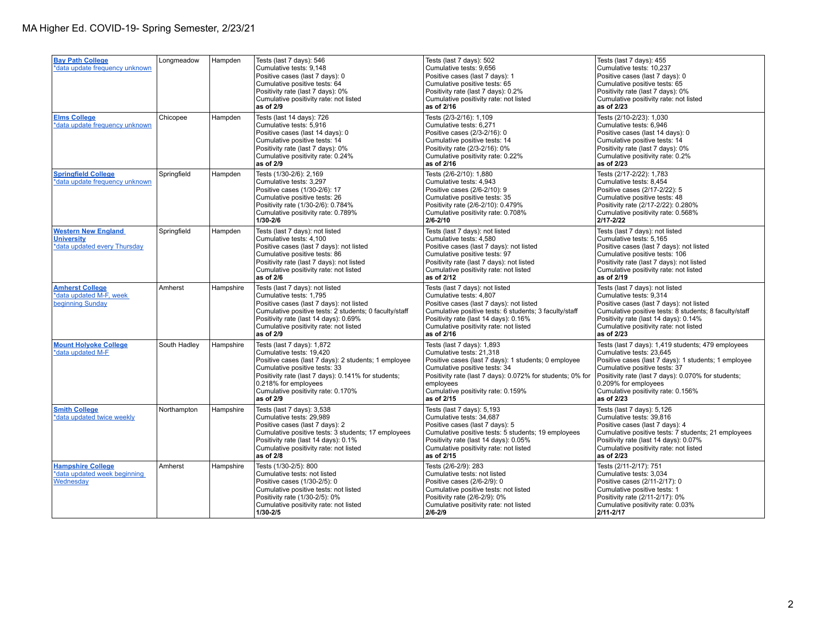| <b>Bay Path College</b><br>*data update frequency unknown                       | Longmeadow   | Hampden   | Tests (last 7 days): 546<br>Cumulative tests: 9,148<br>Positive cases (last 7 days): 0<br>Cumulative positive tests: 64<br>Positivity rate (last 7 days): 0%<br>Cumulative positivity rate: not listed<br>as of 2/9                                                               | Tests (last 7 days): 502<br>Cumulative tests: 9,656<br>Positive cases (last 7 days): 1<br>Cumulative positive tests: 65<br>Positivity rate (last 7 days): 0.2%<br>Cumulative positivity rate: not listed<br>as of 2/16                                                         | Tests (last 7 days): 455<br>Cumulative tests: 10,237<br>Positive cases (last 7 days): 0<br>Cumulative positive tests: 65<br>Positivity rate (last 7 days): 0%<br>Cumulative positivity rate: not listed<br>as of 2/23                                                                                      |
|---------------------------------------------------------------------------------|--------------|-----------|-----------------------------------------------------------------------------------------------------------------------------------------------------------------------------------------------------------------------------------------------------------------------------------|--------------------------------------------------------------------------------------------------------------------------------------------------------------------------------------------------------------------------------------------------------------------------------|------------------------------------------------------------------------------------------------------------------------------------------------------------------------------------------------------------------------------------------------------------------------------------------------------------|
| <b>Elms College</b><br>*data update frequency unknown                           | Chicopee     | Hampden   | Tests (last 14 days): 726<br>Cumulative tests: 5,916<br>Positive cases (last 14 days): 0<br>Cumulative positive tests: 14<br>Positivity rate (last 7 days): 0%<br>Cumulative positivity rate: 0.24%<br>as of 2/9                                                                  | Tests (2/3-2/16): 1,109<br>Cumulative tests: 6,271<br>Positive cases (2/3-2/16): 0<br>Cumulative positive tests: 14<br>Positivity rate (2/3-2/16): 0%<br>Cumulative positivity rate: 0.22%<br>as of 2/16                                                                       | Tests (2/10-2/23): 1,030<br>Cumulative tests: 6,946<br>Positive cases (last 14 days): 0<br>Cumulative positive tests: 14<br>Positivity rate (last 7 days): 0%<br>Cumulative positivity rate: 0.2%<br>as of 2/23                                                                                            |
| <b>Springfield College</b><br>*data update frequency unknown                    | Springfield  | Hampden   | Tests (1/30-2/6): 2,169<br>Cumulative tests: 3.297<br>Positive cases (1/30-2/6): 17<br>Cumulative positive tests: 26<br>Positivity rate (1/30-2/6): 0.784%<br>Cumulative positivity rate: 0.789%<br>1/30-2/6                                                                      | Tests (2/6-2/10): 1,880<br>Cumulative tests: 4,943<br>Positive cases (2/6-2/10): 9<br>Cumulative positive tests: 35<br>Positivity rate (2/6-2/10): 0.479%<br>Cumulative positivity rate: 0.708%<br>2/6-2/10                                                                    | Tests (2/17-2/22): 1,783<br>Cumulative tests: 8,454<br>Positive cases (2/17-2/22): 5<br>Cumulative positive tests: 48<br>Positivity rate (2/17-2/22): 0.280%<br>Cumulative positivity rate: 0.568%<br>$2/17 - 2/22$                                                                                        |
| <b>Western New England</b><br><b>University</b><br>*data updated every Thursday | Springfield  | Hampden   | Tests (last 7 days): not listed<br>Cumulative tests: 4,100<br>Positive cases (last 7 days): not listed<br>Cumulative positive tests: 86<br>Positivity rate (last 7 days): not listed<br>Cumulative positivity rate: not listed<br>as of 2/6                                       | Tests (last 7 days): not listed<br>Cumulative tests: 4,580<br>Positive cases (last 7 days): not listed<br>Cumulative positive tests: 97<br>Positivity rate (last 7 days): not listed<br>Cumulative positivity rate: not listed<br>as of 2/12                                   | Tests (last 7 days): not listed<br>Cumulative tests: 5,165<br>Positive cases (last 7 days): not listed<br>Cumulative positive tests: 106<br>Positivity rate (last 7 days): not listed<br>Cumulative positivity rate: not listed<br>as of 2/19                                                              |
| <b>Amherst College</b><br>*data updated M-F, week<br>beginning Sunday           | Amherst      | Hampshire | Tests (last 7 days): not listed<br>Cumulative tests: 1,795<br>Positive cases (last 7 days): not listed<br>Cumulative positive tests: 2 students: 0 faculty/staff<br>Positivity rate (last 14 days): 0.69%<br>Cumulative positivity rate: not listed<br>as of 2/9                  | Tests (last 7 days): not listed<br>Cumulative tests: 4,807<br>Positive cases (last 7 days): not listed<br>Cumulative positive tests: 6 students; 3 faculty/staff<br>Positivity rate (last 14 days): 0.16%<br>Cumulative positivity rate: not listed<br>as of 2/16              | Tests (last 7 days): not listed<br>Cumulative tests: 9,314<br>Positive cases (last 7 days): not listed<br>Cumulative positive tests: 8 students; 8 faculty/staff<br>Positivity rate (last 14 days): 0.14%<br>Cumulative positivity rate: not listed<br>as of 2/23                                          |
| <b>Mount Holyoke College</b><br>*data updated M-F                               | South Hadley | Hampshire | Tests (last 7 days): 1,872<br>Cumulative tests: 19,420<br>Positive cases (last 7 days): 2 students; 1 employee<br>Cumulative positive tests: 33<br>Positivity rate (last 7 days): 0.141% for students;<br>0.218% for employees<br>Cumulative positivity rate: 0.170%<br>as of 2/9 | Tests (last 7 days): 1,893<br>Cumulative tests: 21,318<br>Positive cases (last 7 days): 1 students; 0 employee<br>Cumulative positive tests: 34<br>Positivity rate (last 7 days): 0.072% for students; 0% for<br>employees<br>Cumulative positivity rate: 0.159%<br>as of 2/15 | Tests (last 7 days): 1,419 students; 479 employees<br>Cumulative tests: 23,645<br>Positive cases (last 7 days): 1 students; 1 employee<br>Cumulative positive tests: 37<br>Positivity rate (last 7 days): 0.070% for students;<br>0.209% for employees<br>Cumulative positivity rate: 0.156%<br>as of 2/23 |
| <b>Smith College</b><br>*data updated twice weekly                              | Northampton  | Hampshire | Tests (last 7 days): 3,538<br>Cumulative tests: 29.989<br>Positive cases (last 7 days): 2<br>Cumulative positive tests: 3 students; 17 employees<br>Positivity rate (last 14 days): 0.1%<br>Cumulative positivity rate: not listed<br>as of 2/8                                   | Tests (last 7 days): 5,193<br>Cumulative tests: 34,687<br>Positive cases (last 7 days): 5<br>Cumulative positive tests: 5 students; 19 employees<br>Positivity rate (last 14 days): 0.05%<br>Cumulative positivity rate: not listed<br>as of 2/15                              | Tests (last 7 days): 5,126<br>Cumulative tests: 39,816<br>Positive cases (last 7 days): 4<br>Cumulative positive tests: 7 students; 21 employees<br>Positivity rate (last 14 days): 0.07%<br>Cumulative positivity rate: not listed<br>as of 2/23                                                          |
| <b>Hampshire College</b><br>*data updated week beginning<br>Wednesday           | Amherst      | Hampshire | Tests (1/30-2/5): 800<br>Cumulative tests: not listed<br>Positive cases (1/30-2/5): 0<br>Cumulative positive tests: not listed<br>Positivity rate (1/30-2/5): 0%<br>Cumulative positivity rate: not listed<br>$1/30 - 2/5$                                                        | Tests (2/6-2/9): 283<br>Cumulative tests: not listed<br>Positive cases (2/6-2/9): 0<br>Cumulative positive tests: not listed<br>Positivity rate (2/6-2/9): 0%<br>Cumulative positivity rate: not listed<br>2/6-2/9                                                             | Tests (2/11-2/17): 751<br>Cumulative tests: 3,034<br>Positive cases (2/11-2/17): 0<br>Cumulative positive tests: 1<br>Positivity rate (2/11-2/17): 0%<br>Cumulative positivity rate: 0.03%<br>$2/11 - 2/17$                                                                                                |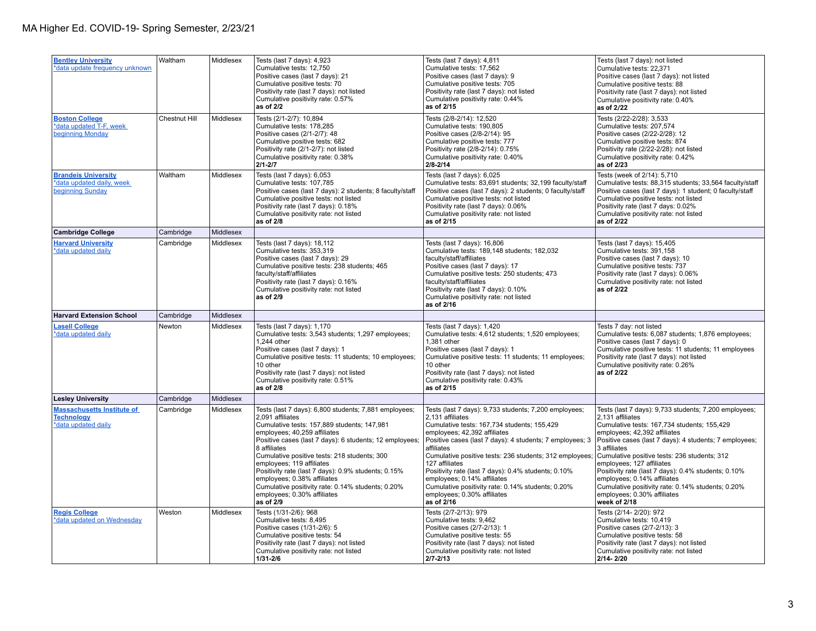| <b>Bentley University</b><br>*data update frequency unknown                   | Waltham              | Middlesex | Tests (last 7 days): 4,923<br>Cumulative tests: 12,750<br>Positive cases (last 7 days): 21<br>Cumulative positive tests: 70<br>Positivity rate (last 7 days): not listed<br>Cumulative positivity rate: 0.57%<br>as of 2/2                                                                                                                                                                                                                                                                              | Tests (last 7 days): 4,811<br>Cumulative tests: 17,562<br>Positive cases (last 7 days): 9<br>Cumulative positive tests: 705<br>Positivity rate (last 7 days): not listed<br>Cumulative positivity rate: 0.44%<br>as of 2/15                                                                                                                                                                                                                                                                             | Tests (last 7 days): not listed<br>Cumulative tests: 22,371<br>Positive cases (last 7 days): not listed<br>Cumulative positive tests: 88<br>Positivity rate (last 7 days): not listed<br>Cumulative positivity rate: 0.40%<br>as of 2/22                                                                                                                                                                                                                                                                  |
|-------------------------------------------------------------------------------|----------------------|-----------|---------------------------------------------------------------------------------------------------------------------------------------------------------------------------------------------------------------------------------------------------------------------------------------------------------------------------------------------------------------------------------------------------------------------------------------------------------------------------------------------------------|---------------------------------------------------------------------------------------------------------------------------------------------------------------------------------------------------------------------------------------------------------------------------------------------------------------------------------------------------------------------------------------------------------------------------------------------------------------------------------------------------------|-----------------------------------------------------------------------------------------------------------------------------------------------------------------------------------------------------------------------------------------------------------------------------------------------------------------------------------------------------------------------------------------------------------------------------------------------------------------------------------------------------------|
| <b>Boston College</b><br>*data updated T-F, week<br>beginning Monday          | <b>Chestnut Hill</b> | Middlesex | Tests (2/1-2/7): 10,894<br>Cumulative tests: 178,285<br>Positive cases (2/1-2/7): 48<br>Cumulative positive tests: 682<br>Positivity rate (2/1-2/7): not listed<br>Cumulative positivity rate: 0.38%<br>$2/1 - 2/7$                                                                                                                                                                                                                                                                                     | Tests (2/8-2/14): 12,520<br>Cumulative tests: 190,805<br>Positive cases (2/8-2/14): 95<br>Cumulative positive tests: 777<br>Positivity rate (2/8-2/14): 0.75%<br>Cumulative positivity rate: 0.40%<br>$2/8 - 2/14$                                                                                                                                                                                                                                                                                      | Tests (2/22-2/28): 3,533<br>Cumulative tests: 207,574<br>Positive cases (2/22-2/28): 12<br>Cumulative positive tests: 874<br>Positivity rate (2/22-2/28): not listed<br>Cumulative positivity rate: 0.42%<br>as of 2/23                                                                                                                                                                                                                                                                                   |
| <b>Brandels University</b><br>*data updated daily, week<br>beginning Sunday   | Waltham              | Middlesex | Tests (last 7 days): 6,053<br>Cumulative tests: 107,785<br>Positive cases (last 7 days): 2 students; 8 faculty/staff<br>Cumulative positive tests: not listed<br>Positivity rate (last 7 days): 0.18%<br>Cumulative positivity rate: not listed<br>as of 2/8                                                                                                                                                                                                                                            | Tests (last 7 days): 6,025<br>Cumulative tests: 83,691 students; 32,199 faculty/staff<br>Positive cases (last 7 days): 2 students; 0 faculty/staff<br>Cumulative positive tests: not listed<br>Positivity rate (last 7 days): 0.06%<br>Cumulative positivity rate: not listed<br>as of 2/15                                                                                                                                                                                                             | Tests (week of 2/14): 5,710<br>Cumulative tests: 88,315 students; 33,564 faculty/staff<br>Positive cases (last 7 days): 1 student; 0 faculty/staff<br>Cumulative positive tests: not listed<br>Positivity rate (last 7 days: 0.02%<br>Cumulative positivity rate: not listed<br>as of 2/22                                                                                                                                                                                                                |
| <b>Cambridge College</b>                                                      | Cambridge            | Middlesex |                                                                                                                                                                                                                                                                                                                                                                                                                                                                                                         |                                                                                                                                                                                                                                                                                                                                                                                                                                                                                                         |                                                                                                                                                                                                                                                                                                                                                                                                                                                                                                           |
| <b>Harvard University</b><br>*data updated daily                              | Cambridge            | Middlesex | Tests (last 7 days): 18,112<br>Cumulative tests: 353,319<br>Positive cases (last 7 days): 29<br>Cumulative positive tests: 238 students; 465<br>faculty/staff/affiliates<br>Positivity rate (last 7 days): 0.16%<br>Cumulative positivity rate: not listed<br>as of 2/9                                                                                                                                                                                                                                 | Tests (last 7 days): 16,806<br>Cumulative tests: 189,148 students; 182,032<br>faculty/staff/affiliates<br>Positive cases (last 7 days): 17<br>Cumulative positive tests: 250 students; 473<br>faculty/staff/affiliates<br>Positivity rate (last 7 days): 0.10%<br>Cumulative positivity rate: not listed<br>as of 2/16                                                                                                                                                                                  | Tests (last 7 days): 15,405<br>Cumulative tests: 391,158<br>Positive cases (last 7 days): 10<br>Cumulative positive tests: 737<br>Positivity rate (last 7 days): 0.06%<br>Cumulative positivity rate: not listed<br>as of 2/22                                                                                                                                                                                                                                                                            |
| <b>Harvard Extension School</b>                                               | Cambridge            | Middlesex |                                                                                                                                                                                                                                                                                                                                                                                                                                                                                                         |                                                                                                                                                                                                                                                                                                                                                                                                                                                                                                         |                                                                                                                                                                                                                                                                                                                                                                                                                                                                                                           |
| <b>Lasell College</b><br>*data updated daily                                  | Newton               | Middlesex | Tests (last 7 days): 1,170<br>Cumulative tests: 3,543 students; 1,297 employees;<br>1,244 other<br>Positive cases (last 7 days): 1<br>Cumulative positive tests: 11 students; 10 employees;<br>10 other<br>Positivity rate (last 7 days): not listed<br>Cumulative positivity rate: 0.51%<br>as of 2/8                                                                                                                                                                                                  | Tests (last 7 days): 1,420<br>Cumulative tests: 4,612 students; 1,520 employees;<br>1,381 other<br>Positive cases (last 7 days): 1<br>Cumulative positive tests: 11 students; 11 employees;<br>10 other<br>Positivity rate (last 7 days): not listed<br>Cumulative positivity rate: 0.43%<br>as of 2/15                                                                                                                                                                                                 | Tests 7 day: not listed<br>Cumulative tests: 6,087 students; 1,876 employees;<br>Positive cases (last 7 days): 0<br>Cumulative positive tests: 11 students; 11 employees<br>Positivity rate (last 7 days): not listed<br>Cumulative positivity rate: 0.26%<br>as of 2/22                                                                                                                                                                                                                                  |
| <b>Lesley University</b>                                                      | Cambridge            | Middlesex |                                                                                                                                                                                                                                                                                                                                                                                                                                                                                                         |                                                                                                                                                                                                                                                                                                                                                                                                                                                                                                         |                                                                                                                                                                                                                                                                                                                                                                                                                                                                                                           |
| <b>Massachusetts Institute of</b><br><b>Technology</b><br>*data updated daily | Cambridge            | Middlesex | Tests (last 7 days): 6,800 students; 7,881 employees;<br>2,091 affiliates<br>Cumulative tests: 157,889 students; 147,981<br>employees; 40,259 affiliates<br>Positive cases (last 7 days): 6 students; 12 employees;<br>8 affiliates<br>Cumulative positive tests: 218 students; 300<br>employees; 119 affiliates<br>Positivity rate (last 7 days): 0.9% students; 0.15%<br>employees; 0.38% affiliates<br>Cumulative positivity rate: 0.14% students; 0.20%<br>employees; 0.30% affiliates<br>as of 2/9 | Tests (last 7 days): 9,733 students; 7,200 employees;<br>2,131 affiliates<br>Cumulative tests: 167,734 students; 155,429<br>employees; 42,392 affiliates<br>Positive cases (last 7 days): 4 students; 7 employees; 3<br>affiliates<br>Cumulative positive tests: 236 students; 312 employees;<br>127 affiliates<br>Positivity rate (last 7 days): 0.4% students; 0.10%<br>employees; 0.14% affiliates<br>Cumulative positivity rate: 0.14% students; 0.20%<br>employees; 0.30% affiliates<br>as of 2/16 | Tests (last 7 days): 9,733 students; 7,200 employees;<br>2,131 affiliates<br>Cumulative tests: 167,734 students; 155,429<br>employees; 42,392 affiliates<br>Positive cases (last 7 days): 4 students; 7 employees;<br>3 affiliates<br>Cumulative positive tests: 236 students; 312<br>employees; 127 affiliates<br>Positivity rate (last 7 days): 0.4% students; 0.10%<br>employees; 0.14% affiliates<br>Cumulative positivity rate: 0.14% students; 0.20%<br>employees; 0.30% affiliates<br>week of 2/18 |
| <b>Regis College</b><br>*data updated on Wednesday                            | Weston               | Middlesex | Tests (1/31-2/6): 968<br>Cumulative tests: 8,495<br>Positive cases (1/31-2/6): 5<br>Cumulative positive tests: 54                                                                                                                                                                                                                                                                                                                                                                                       | Tests (2/7-2/13): 979<br>Cumulative tests: 9,462<br>Positive cases (2/7-2/13): 1<br>Cumulative positive tests: 55                                                                                                                                                                                                                                                                                                                                                                                       | Tests (2/14-2/20): 972<br>Cumulative tests: 10,419<br>Positive cases (2/7-2/13): 3<br>Cumulative positive tests: 58                                                                                                                                                                                                                                                                                                                                                                                       |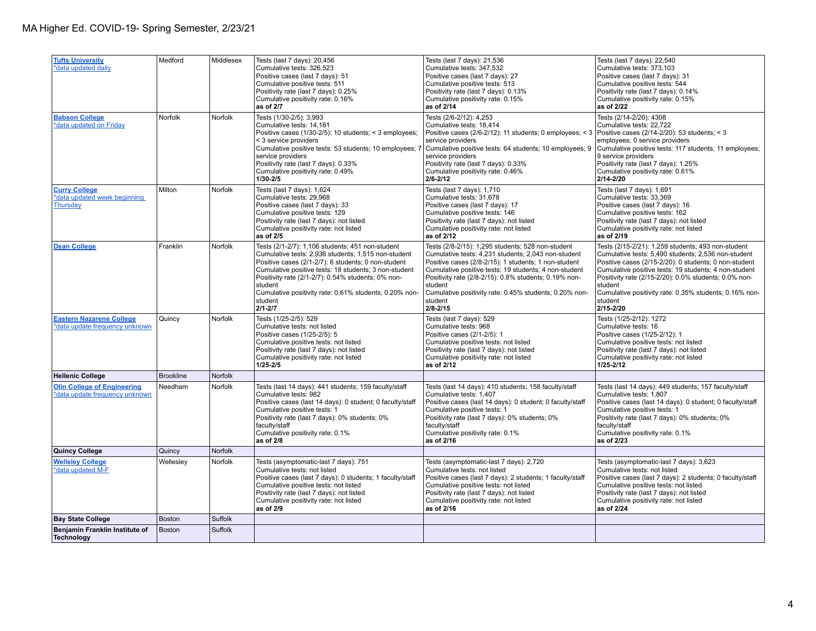| <b>Tufts University</b><br>*data updated daily                       | Medford          | Middlesex      | Tests (last 7 days): 20,456<br>Cumulative tests: 326,523<br>Positive cases (last 7 days): 51<br>Cumulative positive tests: 511<br>Positivity rate (last 7 days): 0.25%<br>Cumulative positivity rate: 0.16%<br>as of 2/7                                                                                                                                                         | Tests (last 7 days): 21,536<br>Cumulative tests: 347,532<br>Positive cases (last 7 days): 27<br>Cumulative positive tests: 513<br>Positivity rate (last 7 days): 0.13%<br>Cumulative positivity rate: 0.15%<br>as of 2/14                                                                                                                                                          | Tests (last 7 days): 22,540<br>Cumulative tests: 373,103<br>Positive cases (last 7 days): 31<br>Cumulative positive tests: 544<br>Positivity rate (last 7 days): 0.14%<br>Cumulative positivity rate: 0.15%<br>as of 2/22                                                                                                                                                         |
|----------------------------------------------------------------------|------------------|----------------|----------------------------------------------------------------------------------------------------------------------------------------------------------------------------------------------------------------------------------------------------------------------------------------------------------------------------------------------------------------------------------|------------------------------------------------------------------------------------------------------------------------------------------------------------------------------------------------------------------------------------------------------------------------------------------------------------------------------------------------------------------------------------|-----------------------------------------------------------------------------------------------------------------------------------------------------------------------------------------------------------------------------------------------------------------------------------------------------------------------------------------------------------------------------------|
| <b>Babson College</b><br>*data updated on Friday                     | Norfolk          | <b>Norfolk</b> | Tests (1/30-2/5): 3,993<br>Cumulative tests: 14,161<br>Positive cases (1/30-2/5): 10 students; < 3 employees;<br>< 3 service providers<br>Cumulative positive tests: 53 students; 10 employees; 7<br>service providers<br>Positivity rate (last 7 days): 0.33%<br>Cumulative positivity rate: 0.49%<br>$1/30 - 2/5$                                                              | Tests (2/6-2/12): 4,253<br>Cumulative tests: 18,414<br>Positive cases (2/6-2/12): 11 students; 0 employees; < 3   Positive cases (2/14-2/20): 53 students; < 3<br>service providers<br>Cumulative positive tests: 64 students; 10 employees; 9<br>service providers<br>Positivity rate (last 7 days): 0.33%<br>Cumulative positivity rate: 0.46%<br>$2/6 - 2/12$                   | Tests (2/14-2/20): 4308<br>Cumulative tests: 22,722<br>employees; 0 service providers<br>Cumulative positive tests: 117 students; 11 employees;<br>9 service providers<br>Positivity rate (last 7 days): 1.25%<br>Cumulative positivity rate: 0.61%<br>$2/14 - 2/20$                                                                                                              |
| <b>Curry College</b><br>*data updated week beginning<br>Thursday     | Milton           | Norfolk        | Tests (last 7 days): 1,624<br>Cumulative tests: 29,968<br>Positive cases (last 7 days): 33<br>Cumulative positive tests: 129<br>Positivity rate (last 7 days): not listed<br>Cumulative positivity rate: not listed<br>as of 2/5                                                                                                                                                 | Tests (last 7 days): 1,710<br>Cumulative tests: 31,678<br>Positive cases (last 7 days): 17<br>Cumulative positive tests: 146<br>Positivity rate (last 7 days): not listed<br>Cumulative positivity rate: not listed<br>as of 2/12                                                                                                                                                  | Tests (last 7 days): 1,691<br>Cumulative tests: 33,369<br>Positive cases (last 7 days): 16<br>Cumulative positive tests: 162<br>Positivity rate (last 7 days): not listed<br>Cumulative positivity rate: not listed<br>as of 2/19                                                                                                                                                 |
| <b>Dean College</b>                                                  | Franklin         | <b>Norfolk</b> | Tests (2/1-2/7): 1,106 students; 451 non-student<br>Cumulative tests: 2,936 students; 1,515 non-student<br>Positive cases (2/1-2/7): 6 students; 0 non-student<br>Cumulative positive tests: 18 students; 3 non-student<br>Positivity rate (2/1-2/7): 0.54% students; 0% non-<br>student<br>Cumulative positivity rate: 0.61% students; 0.20% non-<br><b>Istudent</b><br>2/1-2/7 | Tests (2/8-2/15): 1,295 students; 528 non-student<br>Cumulative tests: 4,231 students; 2,043 non-student<br>Positive cases (2/8-2/15): 1 students; 1 non-student<br>Cumulative positive tests: 19 students; 4 non-student<br>Positivity rate (2/8-2/15): 0.8% students; 0.19% non-<br>student<br>Cumulative positivity rate: 0.45% students; 0.20% non-<br>student<br>$2/8 - 2/15$ | Tests (2/15-2/21): 1,259 students; 493 non-student<br>Cumulative tests: 5,490 students; 2,536 non-student<br>Positive cases (2/15-2/20): 0 students; 0 non-student<br>Cumulative positive tests: 19 students; 4 non-student<br>Positivity rate (2/15-2/20): 0.0% students; 0.0% non-<br>student<br>Cumulative positivity rate: 0.35% students; 0.16% non-<br>student<br>2/15-2/20 |
| <b>Eastern Nazarene College</b><br>*data update frequency unknown    | Quincy           | Norfolk        | Tests (1/25-2/5): 529<br>Cumulative tests: not listed<br>Positive cases (1/25-2/5): 5<br>Cumulative positive tests: not listed<br>Positivity rate (last 7 days): not listed<br>Cumulative positivity rate: not listed<br>$1/25 - 2/5$                                                                                                                                            | Tests (last 7 days): 529<br>Cumulative tests: 968<br>Positive cases (2/1-2/5): 1<br>Cumulative positive tests: not listed<br>Positivity rate (last 7 days): not listed<br>Cumulative positivity rate: not listed<br>as of 2/12                                                                                                                                                     | Tests (1/25-2/12): 1272<br>Cumulative tests: 16<br>Positive cases (1/25-2/12): 1<br>Cumulative positive tests: not listed<br>Positivity rate (last 7 days): not listed<br>Cumulative positivity rate: not listed<br>$1/25 - 2/12$                                                                                                                                                 |
| <b>Hellenic College</b>                                              | <b>Brookline</b> | Norfolk        |                                                                                                                                                                                                                                                                                                                                                                                  |                                                                                                                                                                                                                                                                                                                                                                                    |                                                                                                                                                                                                                                                                                                                                                                                   |
| <b>Olin College of Engineering</b><br>*data update frequency unknown | Needham          | Norfolk        | Tests (last 14 days): 441 students; 159 faculty/staff<br>Cumulative tests: 982<br>Positive cases (last 14 days): 0 student; 0 faculty/staff<br>Cumulative positive tests: 1<br>Positivity rate (last 7 days): 0% students; 0%<br>faculty/staff<br>Cumulative positivity rate: 0.1%<br>as of 2/8                                                                                  | Tests (last 14 days): 410 students; 158 faculty/staff<br>Cumulative tests: 1.407<br>Positive cases (last 14 days): 0 student; 0 faculty/staff<br>Cumulative positive tests: 1<br>Positivity rate (last 7 days): 0% students; 0%<br>faculty/staff<br>Cumulative positivity rate: 0.1%<br>as of 2/16                                                                                 | Tests (last 14 days): 449 students; 157 faculty/staff<br>Cumulative tests: 1.807<br>Positive cases (last 14 days): 0 student; 0 faculty/staff<br>Cumulative positive tests: 1<br>Positivity rate (last 7 days): 0% students; 0%<br>faculty/staff<br>Cumulative positivity rate: 0.1%<br>as of 2/23                                                                                |
| <b>Quincy College</b>                                                | Quincy           | Norfolk        |                                                                                                                                                                                                                                                                                                                                                                                  |                                                                                                                                                                                                                                                                                                                                                                                    |                                                                                                                                                                                                                                                                                                                                                                                   |
| <b>Wellsley College</b><br>*data updated M-F                         | Wellesley        | Norfolk        | Tests (asymptomatic-last 7 days): 751<br>Cumulative tests: not listed<br>Positive cases (last 7 days): 0 students; 1 faculty/staff<br>Cumulative positive tests: not listed<br>Positivity rate (last 7 days): not listed<br>Cumulative positivity rate: not listed<br>as of 2/9                                                                                                  | Tests (asymptomatic-last 7 days): 2,720<br>Cumulative tests: not listed<br>Positive cases (last 7 days): 2 students; 1 faculty/staff<br>Cumulative positive tests: not listed<br>Positivity rate (last 7 days): not listed<br>Cumulative positivity rate: not listed<br>as of 2/16                                                                                                 | Tests (asymptomatic-last 7 days): 3,623<br>Cumulative tests: not listed<br>Positive cases (last 7 days): 2 students; 0 faculty/staff<br>Cumulative positive tests: not listed<br>Positivity rate (last 7 days): not listed<br>Cumulative positivity rate: not listed<br>as of 2/24                                                                                                |
| <b>Bay State College</b>                                             | <b>Boston</b>    | Suffolk        |                                                                                                                                                                                                                                                                                                                                                                                  |                                                                                                                                                                                                                                                                                                                                                                                    |                                                                                                                                                                                                                                                                                                                                                                                   |
| Benjamin Franklin Institute of<br>Technology                         | <b>Boston</b>    | Suffolk        |                                                                                                                                                                                                                                                                                                                                                                                  |                                                                                                                                                                                                                                                                                                                                                                                    |                                                                                                                                                                                                                                                                                                                                                                                   |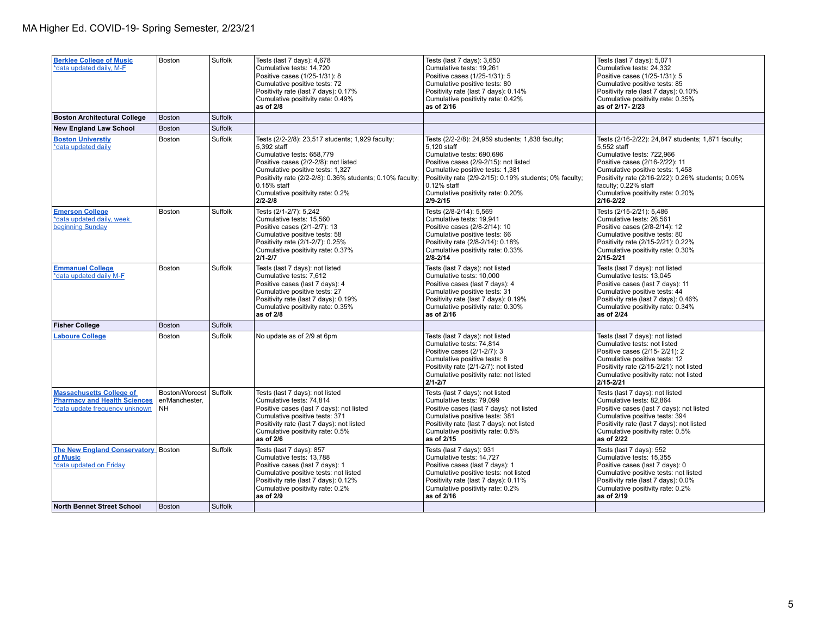| <b>Berklee College of Music</b><br>*data updated daily, M-F                                              | Boston                                        | Suffolk | Tests (last 7 days): 4,678<br>Cumulative tests: 14,720<br>Positive cases (1/25-1/31): 8<br>Cumulative positive tests: 72<br>Positivity rate (last 7 days): 0.17%<br>Cumulative positivity rate: 0.49%<br>as of 2/8                                                                                        | Tests (last 7 days): 3,650<br>Cumulative tests: 19,261<br>Positive cases (1/25-1/31): 5<br>Cumulative positive tests: 80<br>Positivity rate (last 7 days): 0.14%<br>Cumulative positivity rate: 0.42%<br>as of 2/16                                                                                         | Tests (last 7 days): 5,071<br>Cumulative tests: 24,332<br>Positive cases (1/25-1/31): 5<br>Cumulative positive tests: 85<br>Positivity rate (last 7 days): 0.10%<br>Cumulative positivity rate: 0.35%<br>as of 2/17-2/23                                                                                 |
|----------------------------------------------------------------------------------------------------------|-----------------------------------------------|---------|-----------------------------------------------------------------------------------------------------------------------------------------------------------------------------------------------------------------------------------------------------------------------------------------------------------|-------------------------------------------------------------------------------------------------------------------------------------------------------------------------------------------------------------------------------------------------------------------------------------------------------------|----------------------------------------------------------------------------------------------------------------------------------------------------------------------------------------------------------------------------------------------------------------------------------------------------------|
| <b>Boston Architectural College</b>                                                                      | <b>Boston</b>                                 | Suffolk |                                                                                                                                                                                                                                                                                                           |                                                                                                                                                                                                                                                                                                             |                                                                                                                                                                                                                                                                                                          |
| <b>New England Law School</b>                                                                            | <b>Boston</b>                                 | Suffolk |                                                                                                                                                                                                                                                                                                           |                                                                                                                                                                                                                                                                                                             |                                                                                                                                                                                                                                                                                                          |
| <b>Boston Universtiy</b><br>*data updated daily                                                          | Boston                                        | Suffolk | Tests (2/2-2/8): 23,517 students; 1,929 faculty;<br>5,392 staff<br>Cumulative tests: 658,779<br>Positive cases (2/2-2/8): not listed<br>Cumulative positive tests: 1,327<br>Positivity rate (2/2-2/8): 0.36% students; 0.10% faculty;<br>$0.15%$ staff<br>Cumulative positivity rate: 0.2%<br>$2/2 - 2/8$ | Tests (2/2-2/8): 24,959 students; 1,838 faculty;<br>5,120 staff<br>Cumulative tests: 690,696<br>Positive cases (2/9-2/15): not listed<br>Cumulative positive tests: 1,381<br>Positivity rate (2/9-2/15): 0.19% students; 0% faculty;<br>$0.12\%$ staff<br>Cumulative positivity rate: 0.20%<br>$2/9 - 2/15$ | Tests (2/16-2/22): 24,847 students; 1,871 faculty;<br>5,552 staff<br>Cumulative tests: 722,966<br>Positive cases (2/16-2/22): 11<br>Cumulative positive tests: 1,458<br>Positivity rate (2/16-2/22): 0.26% students; 0.05%<br>faculty; 0.22% staff<br>Cumulative positivity rate: 0.20%<br>$2/16 - 2/22$ |
| <b>Emerson College</b><br>*data updated daily, week<br>beginning Sunday                                  | Boston                                        | Suffolk | Tests (2/1-2/7): 5,242<br>Cumulative tests: 15,560<br>Positive cases (2/1-2/7): 13<br>Cumulative positive tests: 58<br>Positivity rate (2/1-2/7): 0.25%<br>Cumulative positivity rate: 0.37%<br>$2/1 - 2/7$                                                                                               | Tests (2/8-2/14): 5,569<br>Cumulative tests: 19,941<br>Positive cases (2/8-2/14): 10<br>Cumulative positive tests: 66<br>Positivity rate (2/8-2/14): 0.18%<br>Cumulative positivity rate: 0.33%<br>$2/8 - 2/14$                                                                                             | Tests (2/15-2/21): 5,486<br>Cumulative tests: 26,561<br>Positive cases (2/8-2/14): 12<br>Cumulative positive tests: 80<br>Positivity rate (2/15-2/21): 0.22%<br>Cumulative positivity rate: 0.30%<br>$2/15 - 2/21$                                                                                       |
| <b>Emmanuel College</b><br>*data updated daily M-F                                                       | Boston                                        | Suffolk | Tests (last 7 days): not listed<br>Cumulative tests: 7,612<br>Positive cases (last 7 days): 4<br>Cumulative positive tests: 27<br>Positivity rate (last 7 days): 0.19%<br>Cumulative positivity rate: 0.35%<br>as of 2/8                                                                                  | Tests (last 7 days): not listed<br>Cumulative tests: 10,000<br>Positive cases (last 7 days): 4<br>Cumulative positive tests: 31<br>Positivity rate (last 7 days): 0.19%<br>Cumulative positivity rate: 0.30%<br>as of 2/16                                                                                  | Tests (last 7 days): not listed<br>Cumulative tests: 13,045<br>Positive cases (last 7 days): 11<br>Cumulative positive tests: 44<br>Positivity rate (last 7 days): 0.46%<br>Cumulative positivity rate: 0.34%<br>as of 2/24                                                                              |
| <b>Fisher College</b>                                                                                    | <b>Boston</b>                                 | Suffolk |                                                                                                                                                                                                                                                                                                           |                                                                                                                                                                                                                                                                                                             |                                                                                                                                                                                                                                                                                                          |
| <b>Laboure College</b>                                                                                   | Boston                                        | Suffolk | No update as of 2/9 at 6pm                                                                                                                                                                                                                                                                                | Tests (last 7 days): not listed<br>Cumulative tests: 74,814<br>Positive cases (2/1-2/7): 3<br>Cumulative positive tests: 8<br>Positivity rate (2/1-2/7): not listed<br>Cumulative positivity rate: not listed<br>$2/1 - 2/7$                                                                                | Tests (last 7 days): not listed<br>Cumulative tests: not listed<br>Positive cases (2/15-2/21): 2<br>Cumulative positive tests: 12<br>Positivity rate (2/15-2/21): not listed<br>Cumulative positivity rate: not listed<br>$2/15 - 2/21$                                                                  |
| <b>Massachusetts College of</b><br><b>Pharmacy and Health Sciences</b><br>*data update frequency unknown | Boston/Worcest<br>er/Manchester,<br><b>NH</b> | Suffolk | Tests (last 7 days): not listed<br>Cumulative tests: 74,814<br>Positive cases (last 7 days): not listed<br>Cumulative positive tests: 371<br>Positivity rate (last 7 days): not listed<br>Cumulative positivity rate: 0.5%<br>as of 2/6                                                                   | Tests (last 7 days): not listed<br>Cumulative tests: 79,099<br>Positive cases (last 7 days): not listed<br>Cumulative positive tests: 381<br>Positivity rate (last 7 days): not listed<br>Cumulative positivity rate: 0.5%<br>as of 2/15                                                                    | Tests (last 7 days): not listed<br>Cumulative tests: 82,864<br>Positive cases (last 7 days): not listed<br>Cumulative positive tests: 394<br>Positivity rate (last 7 days): not listed<br>Cumulative positivity rate: 0.5%<br>as of 2/22                                                                 |
| The New England Conservatory Boston<br>of Music<br>*data updated on Friday                               |                                               | Suffolk | Tests (last 7 days): 857<br>Cumulative tests: 13.788<br>Positive cases (last 7 days): 1<br>Cumulative positive tests: not listed<br>Positivity rate (last 7 days): 0.12%<br>Cumulative positivity rate: 0.2%<br>as of 2/9                                                                                 | Tests (last 7 days): 931<br>Cumulative tests: 14,727<br>Positive cases (last 7 days): 1<br>Cumulative positive tests: not listed<br>Positivity rate (last 7 days): 0.11%<br>Cumulative positivity rate: 0.2%<br>as of 2/16                                                                                  | Tests (last 7 days): 552<br>Cumulative tests: 15,355<br>Positive cases (last 7 days): 0<br>Cumulative positive tests: not listed<br>Positivity rate (last 7 days): 0.0%<br>Cumulative positivity rate: 0.2%<br>as of 2/19                                                                                |
| <b>North Bennet Street School</b>                                                                        | Boston                                        | Suffolk |                                                                                                                                                                                                                                                                                                           |                                                                                                                                                                                                                                                                                                             |                                                                                                                                                                                                                                                                                                          |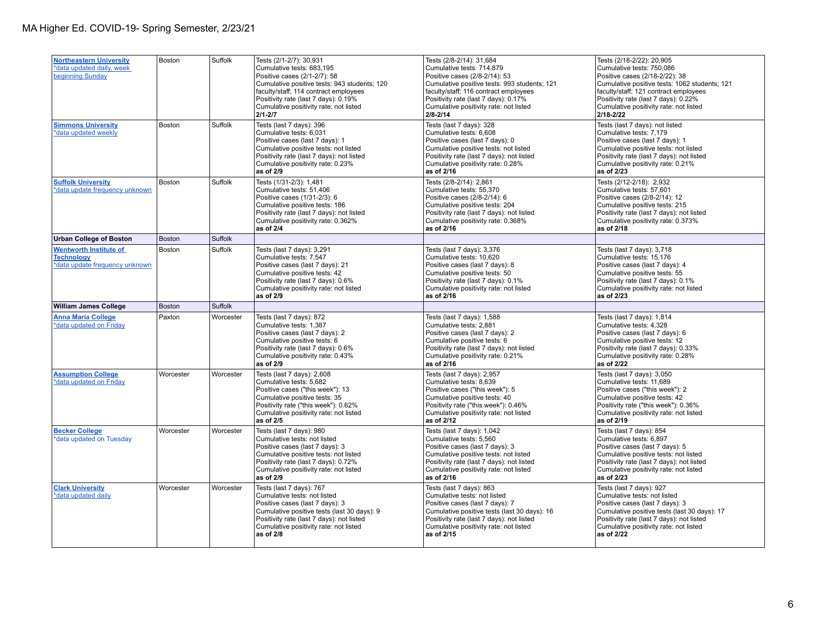| <b>Northeastern University</b><br>*data updated daily, week<br>beginning Sunday      | <b>Boston</b> | Suffolk   | Tests (2/1-2/7): 30,931<br>Cumulative tests: 683,195<br>Positive cases (2/1-2/7): 58<br>Cumulative positive tests: 943 students; 120<br>faculty/staff; 114 contract employees<br>Positivity rate (last 7 days): 0.19%<br>Cumulative positivity rate: not listed<br>$2/1 - 2/7$ | Tests (2/8-2/14): 31,684<br>Cumulative tests: 714,879<br>Positive cases (2/8-2/14): 53<br>Cumulative positive tests: 993 students; 121<br>faculty/staff; 116 contract employees<br>Positivity rate (last 7 days): 0.17%<br>Cumulative positivity rate: not listed<br>$2/8 - 2/14$ | Tests (2/18-2/22): 20,905<br>Cumulative tests: 750,086<br>Positive cases (2/18-2/22): 38<br>Cumulative positive tests: 1062 students; 121<br>faculty/staff; 121 contract employees<br>Positivity rate (last 7 days): 0.22%<br>Cumulative positivity rate: not listed<br>2/18-2/22 |
|--------------------------------------------------------------------------------------|---------------|-----------|--------------------------------------------------------------------------------------------------------------------------------------------------------------------------------------------------------------------------------------------------------------------------------|-----------------------------------------------------------------------------------------------------------------------------------------------------------------------------------------------------------------------------------------------------------------------------------|-----------------------------------------------------------------------------------------------------------------------------------------------------------------------------------------------------------------------------------------------------------------------------------|
| <b>Simmons University</b><br>*data updated weekly                                    | Boston        | Suffolk   | Tests (last 7 days): 396<br>Cumulative tests: 6,031<br>Positive cases (last 7 days): 1<br>Cumulative positive tests: not listed<br>Positivity rate (last 7 days): not listed<br>Cumulative positivity rate: 0.23%<br>as of 2/9                                                 | Tests (last 7 days): 328<br>Cumulative tests: 6,608<br>Positive cases (last 7 days): 0<br>Cumulative positive tests: not listed<br>Positivity rate (last 7 days): not listed<br>Cumulative positivity rate: 0.28%<br>as of 2/16                                                   | Tests (last 7 days): not listed<br>Cumulative tests: 7,179<br>Positive cases (last 7 days): 1<br>Cumulative positive tests: not listed<br>Positivity rate (last 7 days): not listed<br>Cumulative positivity rate: 0.21%<br>as of 2/23                                            |
| <b>Suffolk University</b><br>*data update frequency unknown                          | Boston        | Suffolk   | Tests (1/31-2/3): 1,481<br>Cumulative tests: 51,406<br>Positive cases (1/31-2/3): 6<br>Cumulative positive tests: 186<br>Positivity rate (last 7 days): not listed<br>Cumulative positivity rate: 0.362%<br>as of 2/4                                                          | Tests (2/8-2/14): 2,861<br>Cumulative tests: 55,370<br>Positive cases (2/8-2/14): 6<br>Cumulative positive tests: 204<br>Positivity rate (last 7 days): not listed<br>Cumulative positivity rate: 0.368%<br>as of 2/16                                                            | Tests (2/12-2/18): 2,932<br>Cumulative tests: 57,601<br>Positive cases (2/8-2/14): 12<br>Cumulative positive tests: 215<br>Positivity rate (last 7 days): not listed<br>Cumulative positivity rate: 0.373%<br>as of 2/18                                                          |
| <b>Urban College of Boston</b>                                                       | <b>Boston</b> | Suffolk   |                                                                                                                                                                                                                                                                                |                                                                                                                                                                                                                                                                                   |                                                                                                                                                                                                                                                                                   |
| <b>Wentworth Institute of</b><br><b>Technology</b><br>*data update frequency unknown | <b>Boston</b> | Suffolk   | Tests (last 7 days): 3,291<br>Cumulative tests: 7,547<br>Positive cases (last 7 days): 21<br>Cumulative positive tests: 42<br>Positivity rate (last 7 days): 0.6%<br>Cumulative positivity rate: not listed<br>as of 2/9                                                       | Tests (last 7 days): 3,376<br>Cumulative tests: 10,620<br>Positive cases (last 7 days): 8<br>Cumulative positive tests: 50<br>Positivity rate (last 7 days): 0.1%<br>Cumulative positivity rate: not listed<br>as of 2/16                                                         | Tests (last 7 days): 3,718<br>Cumulative tests: 15,176<br>Positive cases (last 7 days): 4<br>Cumulative positive tests: 55<br>Positivity rate (last 7 days): 0.1%<br>Cumulative positivity rate: not listed<br>as of 2/23                                                         |
| <b>William James College</b>                                                         | <b>Boston</b> | Suffolk   |                                                                                                                                                                                                                                                                                |                                                                                                                                                                                                                                                                                   |                                                                                                                                                                                                                                                                                   |
|                                                                                      |               |           |                                                                                                                                                                                                                                                                                |                                                                                                                                                                                                                                                                                   |                                                                                                                                                                                                                                                                                   |
| <b>Anna Maria College</b><br>*data updated on Friday                                 | Paxton        | Worcester | Tests (last 7 days): 872<br>Cumulative tests: 1,387<br>Positive cases (last 7 days): 2<br>Cumulative positive tests: 6<br>Positivity rate (last 7 days): 0.6%<br>Cumulative positivity rate: 0.43%<br>as of 2/9                                                                | Tests (last 7 days): 1,588<br>Cumulative tests: 2,881<br>Positive cases (last 7 days): 2<br>Cumulative positive tests: 6<br>Positivity rate (last 7 days): not listed<br>Cumulative positivity rate: 0.21%<br>as of 2/16                                                          | Tests (last 7 days): 1,814<br>Cumulative tests: 4,328<br>Positive cases (last 7 days): 6<br>Cumulative positive tests: 12<br>Positivity rate (last 7 days): 0.33%<br>Cumulative positivity rate: 0.28%<br>as of 2/22                                                              |
| <b>Assumption College</b><br>*data updated on Friday                                 | Worcester     | Worcester | Tests (last 7 days): 2,608<br>Cumulative tests: 5,682<br>Positive cases ("this week"): 13<br>Cumulative positive tests: 35<br>Positivity rate ("this week"): 0.62%<br>Cumulative positivity rate: not listed<br>as of 2/5                                                      | Tests (last 7 days): 2,957<br>Cumulative tests: 8,639<br>Positive cases ("this week"): 5<br>Cumulative positive tests: 40<br>Positivity rate ("this week"): 0.46%<br>Cumulative positivity rate: not listed<br>as of 2/12                                                         | Tests (last 7 days): 3,050<br>Cumulative tests: 11,689<br>Positive cases ("this week"): 2<br>Cumulative positive tests: 42<br>Positivity rate ("this week"): 0.36%<br>Cumulative positivity rate: not listed<br>as of 2/19                                                        |
| <b>Becker College</b><br>*data updated on Tuesday                                    | Worcester     | Worcester | Tests (last 7 days): 980<br>Cumulative tests: not listed<br>Positive cases (last 7 days): 3<br>Cumulative positive tests: not listed<br>Positivity rate (last 7 days): 0.72%<br>Cumulative positivity rate: not listed<br>as of 2/9                                            | Tests (last 7 days): 1,042<br>Cumulative tests: 5,560<br>Positive cases (last 7 days): 3<br>Cumulative positive tests: not listed<br>Positivity rate (last 7 days): not listed<br>Cumulative positivity rate: not listed<br>as of 2/16                                            | Tests (last 7 days): 854<br>Cumulative tests: 6,897<br>Positive cases (last 7 days): 5<br>Cumulative positive tests: not listed<br>Positivity rate (last 7 days): not listed<br>Cumulative positivity rate: not listed<br>as of 2/23                                              |